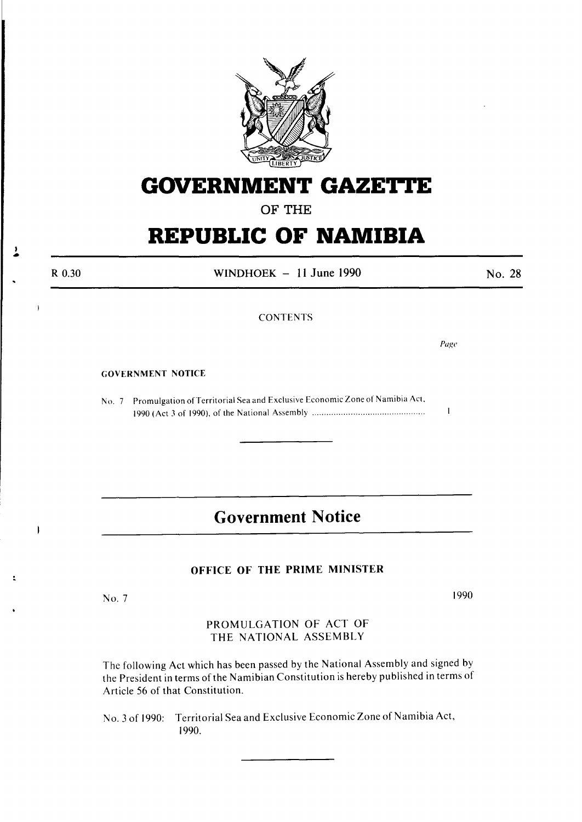

# **GOVERNMENT GAZETTE**

OF THE

# **REPUBLIC OF NAMIBIA**

R 0.30 WINDHOEK  $-11$  June 1990 No. 28

CONTENTS

*Page* 

 $\mathbf{I}$ 

#### GOVERNMENT NOTICE

, •

 $\overline{\phantom{a}}$ 

No. 7 Promulgation of Territorial Sea and Exclusive Economic Zone of Namibia Act, 1990 (Act 3 of 1990). of the National Assembly .............................................. .

# **Government Notice**

#### OFFICE OF THE PRIME MINISTER

No.7

1990

PROMULGATION OF ACT OF THE NATIONAL ASSEMBLY

The following Act which has been passed by the National Assembly and signed by the President in terms of the Namibian Constitution is hereby published in terms of Article 56 of that Constitution.

No. 3 of 1990: Territorial Sea and Exclusive Economic Zone of Namibia Act, 1990.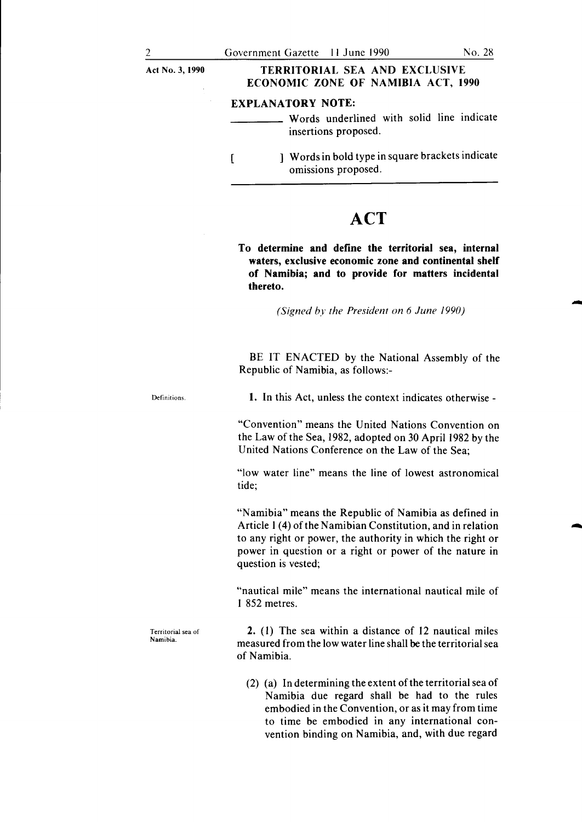-

| Act No. 3, 1990 | <b>TERRITORIAL SEA AND EXCLUSIVE</b><br>ECONOMIC ZONE OF NAMIBIA ACT, 1990                    |
|-----------------|-----------------------------------------------------------------------------------------------|
|                 | <b>EXPLANATORY NOTE:</b><br>Words underlined with solid line indicate<br>insertions proposed. |
|                 | Words in bold type in square brackets indicate<br>omissions proposed.                         |

# **ACT**

To determine and define the territorial sea, internal waters, exclusive economic zone and continental shelf of Namibia; and to provide for matters incidental thereto.

*(Signed by the President on 6 June 1990)* 

BE IT ENACTED by the National Assembly of the Republic of Namibia, as follows:-

Definitions. 1. In this Act, unless the context indicates otherwise -

> "Convention" means the United Nations Convention on the Law of the Sea, I982, adopted on 30 April I982 by the United Nations Conference on the Law of the Sea;

> "low water line" means the line of lowest astronomical tide;

> "Namibia" means the Republic of Namibia as defined in Article 1 (4) of the Namibian Constitution, and in relation to any right or power, the authority in which the right or power in question or a right or power of the nature in question is vested;

> "nautical mile" means the international nautical mile of I 852 metres.

> 2. (I) The sea within a distance of I2 nautical miles measured from the low water line shall be the territorial sea of Namibia.

(2) (a) In determining the extent of the territorial sea of Namibia due regard shall be had to the rules embodied in the Convention, or as it may from time to time be embodied in any international convention binding on Namibia, and, with due regard

Territorial sea of Namibia.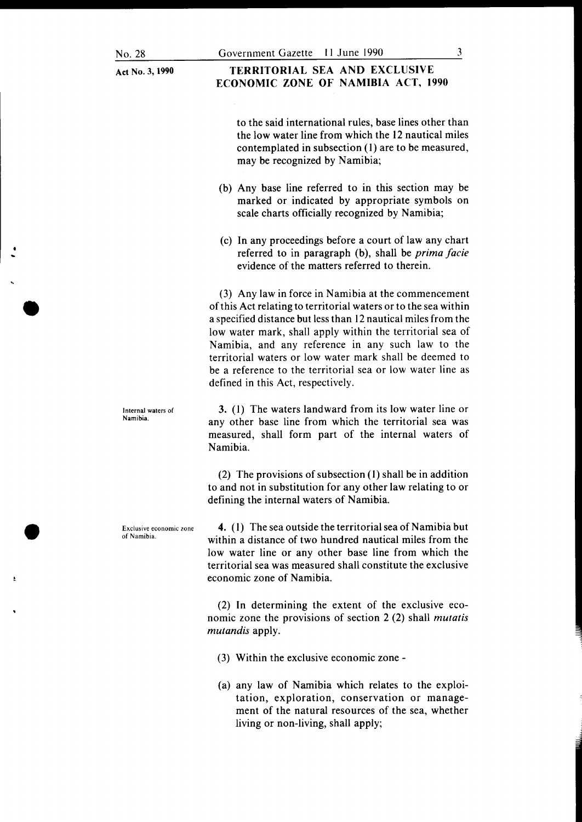### TERRITORIAL SEA AND EXCLUSIVE ECONOMIC ZONE OF NAMIBIA ACT, 1990

to the said international rules, base lines other than the low water line from which the 12 nautical miles contemplated in subsection (1) are to be measured, may be recognized by Namibia;

- (b) Any base line referred to in this section may be marked or indicated by appropriate symbols on scale charts officially recognized by Namibia;
- (c) In any proceedings before a court of law any chart referred to in paragraph (b), shall be *prima facie*  evidence of the matters referred to therein.

(3) Any law in force in Namibia at the commencement of this Act relating to territorial waters or to the sea within a specified distance but less than 12 nautical miles from the low water mark, shall apply within the territorial sea of Namibia, and any reference in any such law to the territorial waters or low water mark shall be deemed to be a reference to the territorial sea or low water line as defined in this Act, respectively.

3. (1) The waters landward from its low water line or any other base line from which the territorial sea was measured, shall form part of the internal waters of Namibia.

(2) The provisions of subsection (1) shall be in addition to and not in substitution for any other law relating to or defining the internal waters of Namibia.

4. ( 1) The sea outside the territorial sea of Namibia but within a distance of two hundred nautical miles from the low water line or any other base line from which the territorial sea was measured shall constitute the exclusive economic zone of Namibia.

(2) In determining the extent of the exclusive economic zone the provisions of section 2 (2) shall *mutatis mutandis* apply.

- (3) Within the exclusive economic zone -
- (a) any law of Namibia which relates to the exploitation, exploration, conservation or management of the natural resources of the sea, whether living or non-living, shall apply;

Internal waters of Namibia.

Exclusive economic zone of Namibia.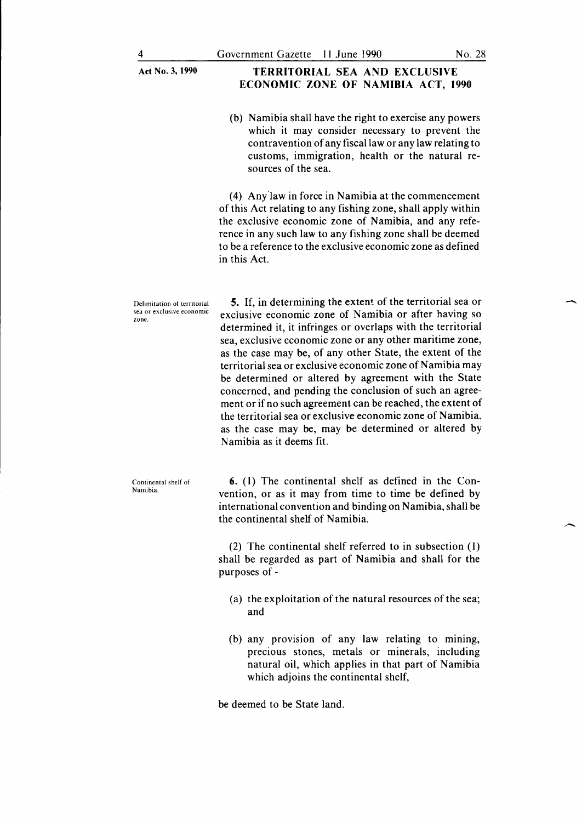#### TERRITORIAL SEA AND EXCLUSIVE ECONOMIC ZONE OF NAMIBIA ACT, 1990

(b) Namibia shall have the right to exercise any powers which it may consider necessary to prevent the contravention of any fiscal law or any law relating to customs, immigration, health or the natural resources of the sea.

(4) Any'law in force in Namibia at the commencement of this Act relating to any fishing zone, shall apply within the exclusive economic zone of Namibia, and any reference in any such law to any fishing zone shall be deemed to be a reference to the exclusive economic zone as defined in this Act.

Delimitation of territorial sea or exclusive economic zone.

Continental shelf of Namibia.

5. If, in determining the extent of the territorial sea or exclusive economic zone of Namibia or after having so determined it, it infringes or overlaps with the territorial sea, exclusive economic zone or any other maritime zone, as the case may be, of any other State, the extent of the territorial sea or exclusive economic zone of Namibia may be determined or altered by agreement with the State concerned, and pending the conclusion of such an agreement or if no such agreement can be reached, the extent of the territorial sea or exclusive economic zone of Namibia, as the case may be, may be determined or altered by Namibia as it deems fit.

6. (I) The continental shelf as defined in the Convention, or as it may from time to time be defined by international convention and binding on Namibia, shall be the continental shelf of Namibia.

(2) The continental shelf referred to in subsection (I) shall be regarded as part of Namibia and shall for the purposes of -

- (a) the exploitation of the natural resources of the sea; and
- (b) any provision of any law relating to mining, precious stones, metals or minerals, including natural oil, which applies in that part of Namibia which adjoins the continental shelf,

be deemed to be State land.

-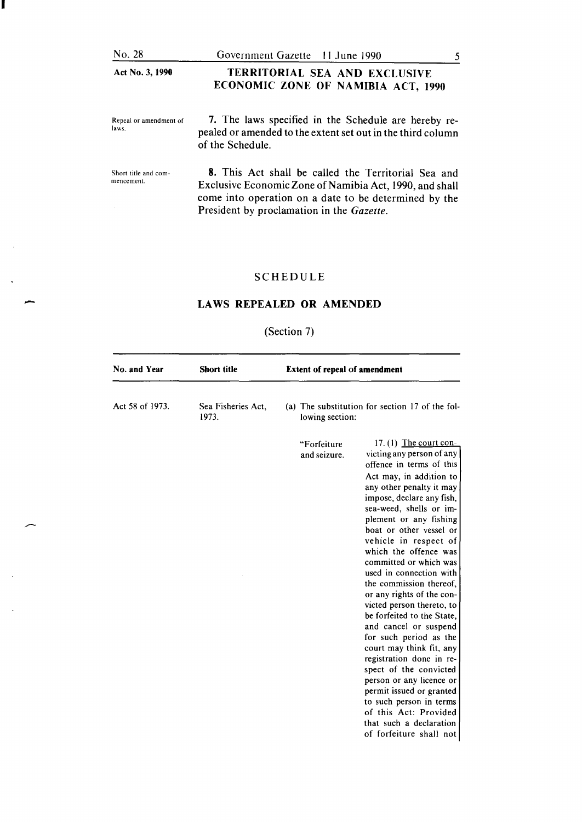| No. 28                             | Government Gazette 11 June 1990                                                                                                                                                                                      |  |
|------------------------------------|----------------------------------------------------------------------------------------------------------------------------------------------------------------------------------------------------------------------|--|
| Act No. 3, 1990                    | TERRITORIAL SEA AND EXCLUSIVE<br>ECONOMIC ZONE OF NAMIBIA ACT, 1990                                                                                                                                                  |  |
| Repeal or amendment of<br>laws.    | 7. The laws specified in the Schedule are hereby re-<br>pealed or amended to the extent set out in the third column<br>of the Schedule.                                                                              |  |
| Short title and com-<br>mencement. | 8. This Act shall be called the Territorial Sea and<br>Exclusive Economic Zone of Namibia Act, 1990, and shall<br>come into operation on a date to be determined by the<br>President by proclamation in the Gazette. |  |

I

-

 $\hat{\mathbf{v}}$ 

 $\ddot{\phantom{a}}$ 

## SCHEDULE

### LAWS REPEALED OR AMENDED

## (Section 7)

| No. and Year    | <b>Short title</b>          | <b>Extent of repeal of amendment</b>                                                                                                                                                                                                                                                                                                                                                                                                                                                                                                                                                                                                                                                                                                                                                                                  |
|-----------------|-----------------------------|-----------------------------------------------------------------------------------------------------------------------------------------------------------------------------------------------------------------------------------------------------------------------------------------------------------------------------------------------------------------------------------------------------------------------------------------------------------------------------------------------------------------------------------------------------------------------------------------------------------------------------------------------------------------------------------------------------------------------------------------------------------------------------------------------------------------------|
| Act 58 of 1973. | Sea Fisheries Act,<br>1973. | (a) The substitution for section 17 of the fol-<br>lowing section:                                                                                                                                                                                                                                                                                                                                                                                                                                                                                                                                                                                                                                                                                                                                                    |
|                 |                             | 17. $(l)$ The court con-<br>"Forfeiture<br>victing any person of any<br>and seizure.<br>offence in terms of this<br>Act may, in addition to<br>any other penalty it may<br>impose, declare any fish,<br>sea-weed, shells or im-<br>plement or any fishing<br>boat or other vessel or<br>vehicle in respect of<br>which the offence was<br>committed or which was<br>used in connection with<br>the commission thereof,<br>or any rights of the con-<br>victed person thereto, to<br>be forfeited to the State,<br>and cancel or suspend<br>for such period as the<br>court may think fit, any<br>registration done in re-<br>spect of the convicted<br>person or any licence or<br>permit issued or granted<br>to such person in terms<br>of this Act: Provided<br>that such a declaration<br>of forfeiture shall not |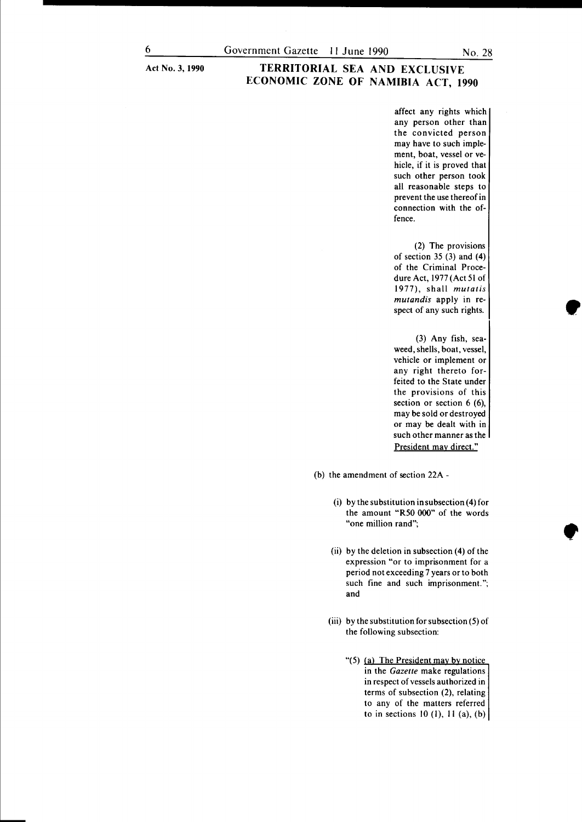#### **TERRITORIAL SEA AND EXCLUSIVE ECONOMIC ZONE OF NAMIBIA ACT, 1990**

affect any rights which any person other than the convicted person may have to such implement, boat, vessel or vehicle, if it is proved that such other person took all reasonable steps to prevent the use thereof in connection with the offence.

(2) The provisions of section 35 (3) and (4) of the Criminal Procedure Act, 1977 (Act 51 of 1977), shall *mutatis mutandis* apply in respect of any such rights.

(3) Any fish, seaweed, shells, boat, vessel, vehicle or implement or any right thereto forfeited to the State under the provisions of this section or section 6 (6), may be sold or destroyed or may be dealt with in such other manner as the President may direct."

(b) the amendment of section 22A-

- (i) by the substitution in subsection (4) for the amount "R50 000" of the words "one million rand";
- (ii) by the deletion in subsection (4) of the expression "or to imprisonment for a period not exceeding 7 years or to both such fine and such imprisonment."; and
- (iii) by the substitution for subsection (5) of the following subsection:
	- "(5) (a) The President may by notice in the *Gazette* make regulations in respect of vessels authorized in terms of subsection (2), relating to any of the matters referred to in sections 10 (1), 11 (a), (b)